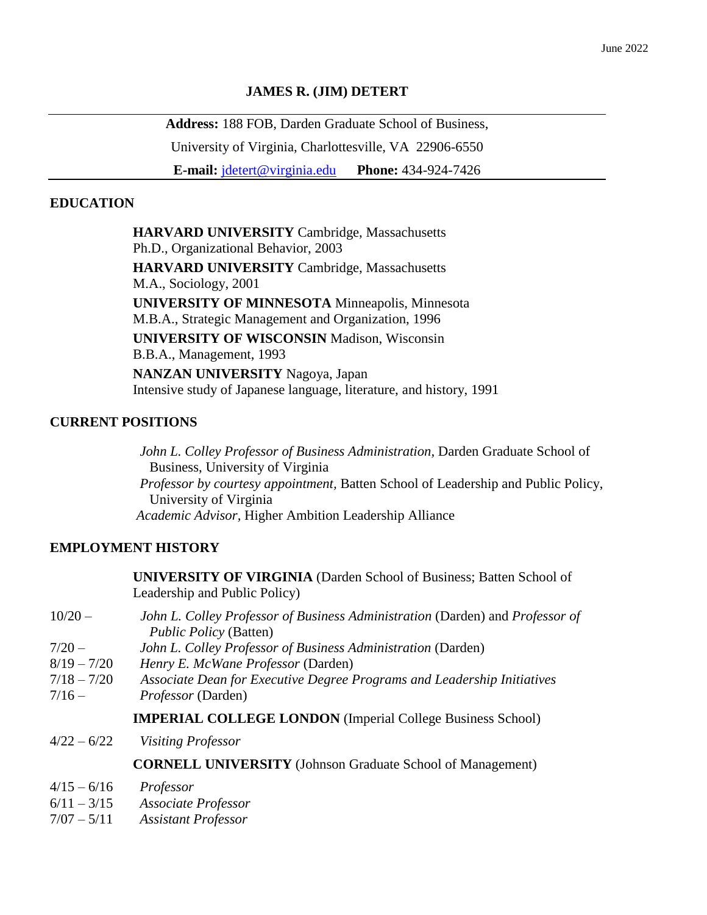## **JAMES R. (JIM) DETERT**

**Address:** 188 FOB, Darden Graduate School of Business, University of Virginia, Charlottesville, VA 22906-6550

**E-mail:** [jdetert@virginia.edu](mailto:jdetert@virginia.edu) **Phone:** 434-924-7426

# **EDUCATION**

**HARVARD UNIVERSITY** Cambridge, Massachusetts Ph.D., Organizational Behavior, 2003 **HARVARD UNIVERSITY** Cambridge, Massachusetts M.A., Sociology, 2001 **UNIVERSITY OF MINNESOTA** Minneapolis, Minnesota M.B.A., Strategic Management and Organization, 1996 **UNIVERSITY OF WISCONSIN** Madison, Wisconsin B.B.A., Management, 1993 **NANZAN UNIVERSITY** Nagoya, Japan Intensive study of Japanese language, literature, and history, 1991

# **CURRENT POSITIONS**

*John L. Colley Professor of Business Administration,* Darden Graduate School of Business, University of Virginia  *Professor by courtesy appointment,* Batten School of Leadership and Public Policy, University of Virginia *Academic Advisor,* Higher Ambition Leadership Alliance

# **EMPLOYMENT HISTORY**

|               | <b>UNIVERSITY OF VIRGINIA</b> (Darden School of Business; Batten School of<br>Leadership and Public Policy)    |
|---------------|----------------------------------------------------------------------------------------------------------------|
| $10/20 -$     | John L. Colley Professor of Business Administration (Darden) and Professor of<br><i>Public Policy (Batten)</i> |
| $7/20 -$      | John L. Colley Professor of Business Administration (Darden)                                                   |
| $8/19 - 7/20$ | Henry E. McWane Professor (Darden)                                                                             |
| $7/18 - 7/20$ | Associate Dean for Executive Degree Programs and Leadership Initiatives                                        |
| $7/16-$       | Professor (Darden)                                                                                             |
|               | <b>IMPERIAL COLLEGE LONDON</b> (Imperial College Business School)                                              |
| $4/22 - 6/22$ | <b>Visiting Professor</b>                                                                                      |
|               | <b>CORNELL UNIVERSITY</b> (Johnson Graduate School of Management)                                              |
| $4/15 - 6/16$ | Professor                                                                                                      |
| $6/11 - 3/15$ | <b>Associate Professor</b>                                                                                     |
| $7/07 - 5/11$ |                                                                                                                |
|               | <b>Assistant Professor</b>                                                                                     |
|               |                                                                                                                |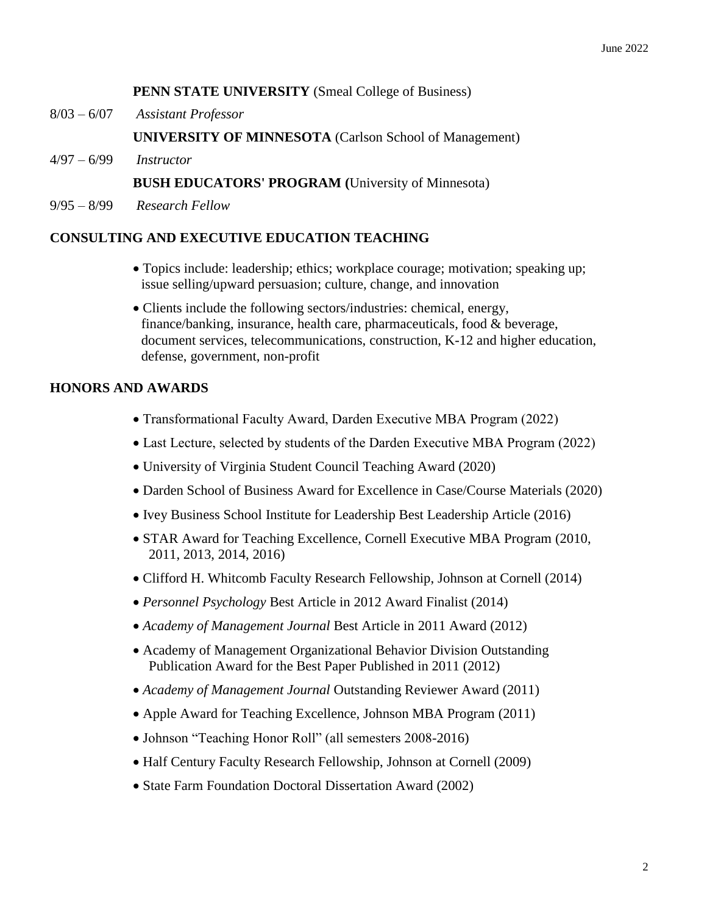## **PENN STATE UNIVERSITY** (Smeal College of Business)

8/03 – 6/07 *Assistant Professor*

**UNIVERSITY OF MINNESOTA** (Carlson School of Management)

4/97 – 6/99 *Instructor*

## **BUSH EDUCATORS' PROGRAM (**University of Minnesota)

9/95 – 8/99 *Research Fellow*

# **CONSULTING AND EXECUTIVE EDUCATION TEACHING**

- Topics include: leadership; ethics; workplace courage; motivation; speaking up; issue selling/upward persuasion; culture, change, and innovation
- Clients include the following sectors/industries: chemical, energy, finance/banking, insurance, health care, pharmaceuticals, food & beverage, document services, telecommunications, construction, K-12 and higher education, defense, government, non-profit

## **HONORS AND AWARDS**

- Transformational Faculty Award, Darden Executive MBA Program (2022)
- Last Lecture, selected by students of the Darden Executive MBA Program (2022)
- University of Virginia Student Council Teaching Award (2020)
- Darden School of Business Award for Excellence in Case/Course Materials (2020)
- Ivey Business School Institute for Leadership Best Leadership Article (2016)
- STAR Award for Teaching Excellence, Cornell Executive MBA Program (2010, 2011, 2013, 2014, 2016)
- Clifford H. Whitcomb Faculty Research Fellowship, Johnson at Cornell (2014)
- *Personnel Psychology* Best Article in 2012 Award Finalist (2014)
- *Academy of Management Journal* Best Article in 2011 Award (2012)
- Academy of Management Organizational Behavior Division Outstanding Publication Award for the Best Paper Published in 2011 (2012)
- *Academy of Management Journal* Outstanding Reviewer Award (2011)
- Apple Award for Teaching Excellence, Johnson MBA Program (2011)
- Johnson "Teaching Honor Roll" (all semesters 2008-2016)
- Half Century Faculty Research Fellowship, Johnson at Cornell (2009)
- State Farm Foundation Doctoral Dissertation Award (2002)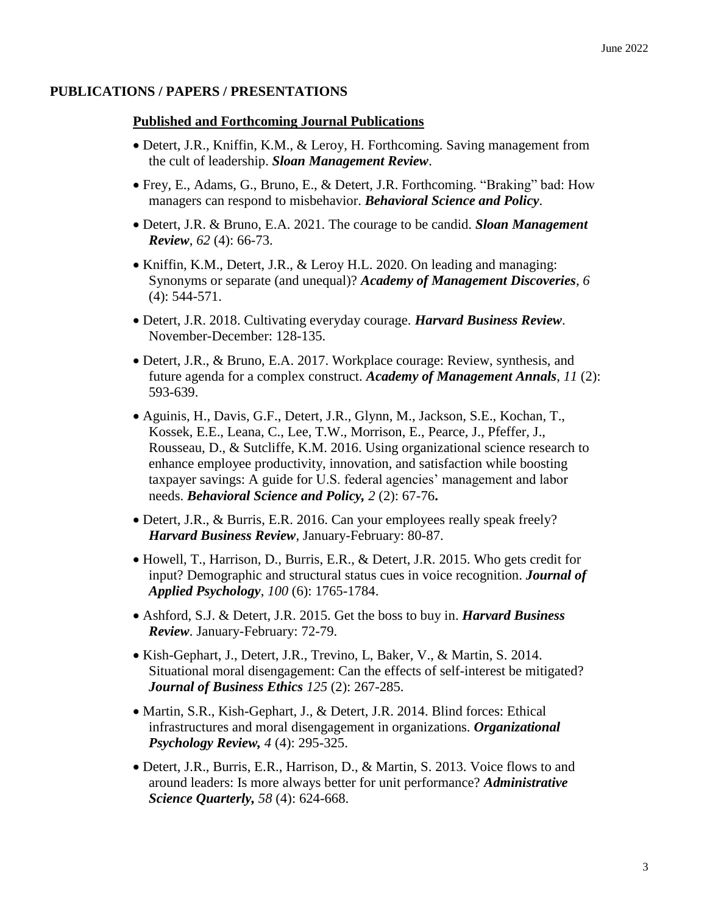### **PUBLICATIONS / PAPERS / PRESENTATIONS**

### **Published and Forthcoming Journal Publications**

- Detert, J.R., Kniffin, K.M., & Leroy, H. Forthcoming. Saving management from the cult of leadership. *Sloan Management Review*.
- Frey, E., Adams, G., Bruno, E., & Detert, J.R. Forthcoming. "Braking" bad: How managers can respond to misbehavior. *Behavioral Science and Policy*.
- Detert, J.R. & Bruno, E.A. 2021. The courage to be candid. *Sloan Management Review*, *62* (4): 66-73.
- Kniffin, K.M., Detert, J.R., & Leroy H.L. 2020. On leading and managing: Synonyms or separate (and unequal)? *Academy of Management Discoveries*, *6* (4): 544-571.
- Detert, J.R. 2018. Cultivating everyday courage. *Harvard Business Review*. November-December: 128-135.
- Detert, J.R., & Bruno, E.A. 2017. Workplace courage: Review, synthesis, and future agenda for a complex construct. *Academy of Management Annals*, *11* (2): 593-639.
- Aguinis, H., Davis, G.F., Detert, J.R., Glynn, M., Jackson, S.E., Kochan, T., Kossek, E.E., Leana, C., Lee, T.W., Morrison, E., Pearce, J., Pfeffer, J., Rousseau, D., & Sutcliffe, K.M. 2016. Using organizational science research to enhance employee productivity, innovation, and satisfaction while boosting taxpayer savings: A guide for U.S. federal agencies' management and labor needs. *Behavioral Science and Policy, 2* (2): 67-76**.**
- Detert, J.R., & Burris, E.R. 2016. Can your employees really speak freely? *Harvard Business Review*, January-February: 80-87.
- Howell, T., Harrison, D., Burris, E.R., & Detert, J.R. 2015. Who gets credit for input? Demographic and structural status cues in voice recognition. *Journal of Applied Psychology*, *100* (6): 1765-1784.
- Ashford, S.J. & Detert, J.R. 2015. Get the boss to buy in. *Harvard Business Review*. January-February: 72-79.
- Kish-Gephart, J., Detert, J.R., Trevino, L. Baker, V., & Martin, S. 2014. Situational moral disengagement: Can the effects of self-interest be mitigated? *Journal of Business Ethics 125* (2): 267-285.
- Martin, S.R., Kish-Gephart, J., & Detert, J.R. 2014. Blind forces: Ethical infrastructures and moral disengagement in organizations. *Organizational Psychology Review, 4* (4): 295-325.
- Detert, J.R., Burris, E.R., Harrison, D., & Martin, S. 2013. Voice flows to and around leaders: Is more always better for unit performance? *Administrative Science Quarterly, 58* (4): 624-668.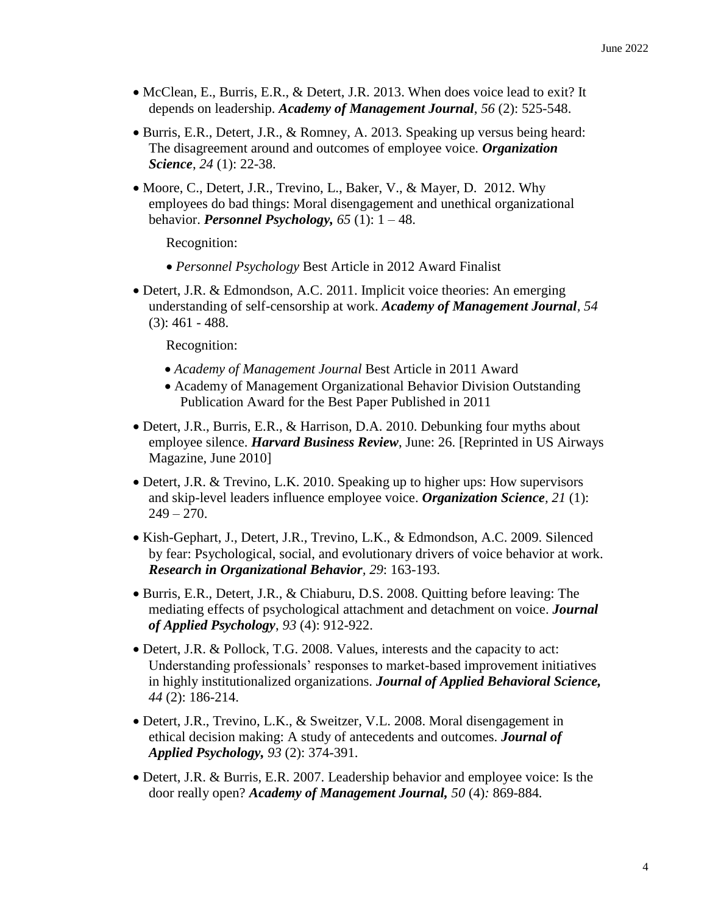- McClean, E., Burris, E.R., & Detert, J.R. 2013. When does voice lead to exit? It depends on leadership. *Academy of Management Journal*, *56* (2): 525-548.
- Burris, E.R., Detert, J.R., & Romney, A. 2013. Speaking up versus being heard: The disagreement around and outcomes of employee voice. *Organization Science*, *24* (1): 22-38.
- Moore, C., Detert, J.R., Trevino, L., Baker, V., & Mayer, D. 2012. Why employees do bad things: Moral disengagement and unethical organizational behavior. *Personnel Psychology, 65* (1): 1 – 48.

Recognition:

- *Personnel Psychology* Best Article in 2012 Award Finalist
- Detert, J.R. & Edmondson, A.C. 2011. Implicit voice theories: An emerging understanding of self-censorship at work. *Academy of Management Journal, 54* (3): 461 - 488.

Recognition:

- *Academy of Management Journal* Best Article in 2011 Award
- Academy of Management Organizational Behavior Division Outstanding Publication Award for the Best Paper Published in 2011
- Detert, J.R., Burris, E.R., & Harrison, D.A. 2010. Debunking four myths about employee silence. *Harvard Business Review*, June: 26. [Reprinted in US Airways Magazine, June 2010]
- Detert, J.R. & Trevino, L.K. 2010. Speaking up to higher ups: How supervisors and skip-level leaders influence employee voice. *Organization Science, 21* (1):  $249 - 270.$
- Kish-Gephart, J., Detert, J.R., Trevino, L.K., & Edmondson, A.C. 2009. Silenced by fear: Psychological, social, and evolutionary drivers of voice behavior at work. *Research in Organizational Behavior, 29*: 163-193.
- Burris, E.R., Detert, J.R., & Chiaburu, D.S. 2008. Quitting before leaving: The mediating effects of psychological attachment and detachment on voice. *Journal of Applied Psychology*, *93* (4): 912-922.
- Detert, J.R. & Pollock, T.G. 2008. Values, interests and the capacity to act: Understanding professionals' responses to market-based improvement initiatives in highly institutionalized organizations. *Journal of Applied Behavioral Science, 44* (2): 186-214.
- Detert, J.R., Trevino, L.K., & Sweitzer, V.L. 2008. Moral disengagement in ethical decision making: A study of antecedents and outcomes. *Journal of Applied Psychology, 93* (2): 374-391.
- Detert, J.R. & Burris, E.R. 2007. Leadership behavior and employee voice: Is the door really open? *Academy of Management Journal, 50* (4)*:* 869-884*.*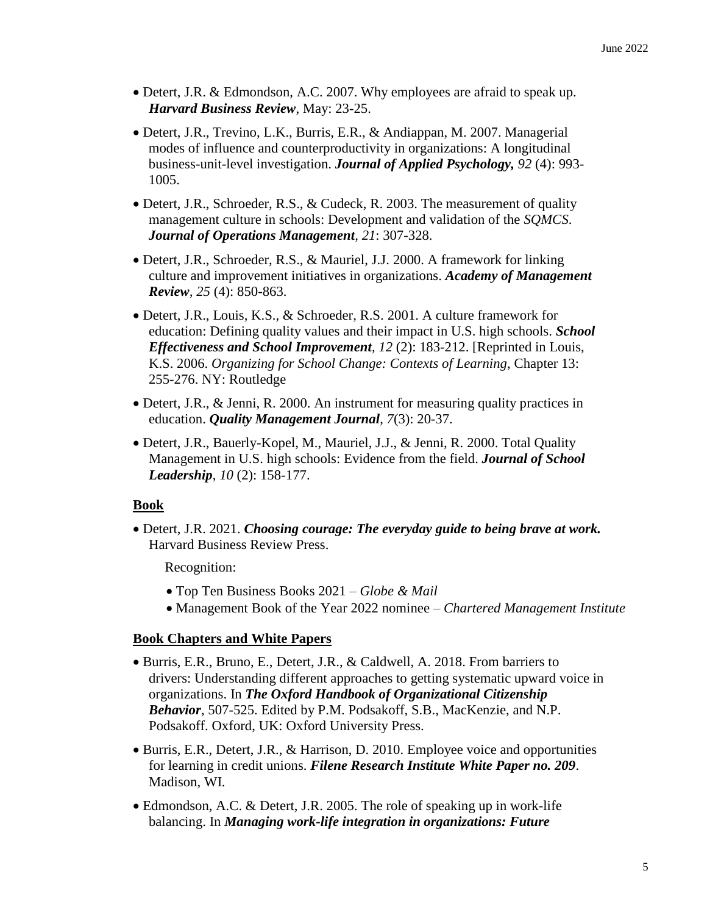- Detert, J.R. & Edmondson, A.C. 2007. Why employees are afraid to speak up. *Harvard Business Review*, May: 23-25.
- Detert, J.R., Trevino, L.K., Burris, E.R., & Andiappan, M. 2007. Managerial modes of influence and counterproductivity in organizations: A longitudinal business-unit-level investigation. *Journal of Applied Psychology, 92* (4): 993- 1005.
- Detert, J.R., Schroeder, R.S., & Cudeck, R. 2003. The measurement of quality management culture in schools: Development and validation of the *SQMCS*. *Journal of Operations Management, 21*: 307-328.
- Detert, J.R., Schroeder, R.S., & Mauriel, J.J. 2000. A framework for linking culture and improvement initiatives in organizations. *Academy of Management Review, 25* (4): 850-863.
- Detert, J.R., Louis, K.S., & Schroeder, R.S. 2001. A culture framework for education: Defining quality values and their impact in U.S. high schools. *School Effectiveness and School Improvement, 12* (2): 183-212. [Reprinted in Louis, K.S. 2006. *Organizing for School Change: Contexts of Learning*, Chapter 13: 255-276. NY: Routledge
- Detert, J.R., & Jenni, R. 2000. An instrument for measuring quality practices in education. *Quality Management Journal*, *7*(3): 20-37.
- Detert, J.R., Bauerly-Kopel, M., Mauriel, J.J., & Jenni, R. 2000. Total Quality Management in U.S. high schools: Evidence from the field. *Journal of School Leadership*, *10* (2): 158-177.

# **Book**

 Detert, J.R. 2021. *Choosing courage: The everyday guide to being brave at work.* Harvard Business Review Press.

Recognition:

- Top Ten Business Books 2021 *Globe & Mail*
- Management Book of the Year 2022 nominee *Chartered Management Institute*

# **Book Chapters and White Papers**

- Burris, E.R., Bruno, E., Detert, J.R., & Caldwell, A. 2018. From barriers to drivers: Understanding different approaches to getting systematic upward voice in organizations. In *The Oxford Handbook of Organizational Citizenship Behavior*, 507-525. Edited by P.M. Podsakoff, S.B., MacKenzie, and N.P. Podsakoff. Oxford, UK: Oxford University Press.
- Burris, E.R., Detert, J.R., & Harrison, D. 2010. Employee voice and opportunities for learning in credit unions. *Filene Research Institute White Paper no. 209*. Madison, WI.
- Edmondson, A.C. & Detert, J.R. 2005. The role of speaking up in work-life balancing. In *Managing work-life integration in organizations: Future*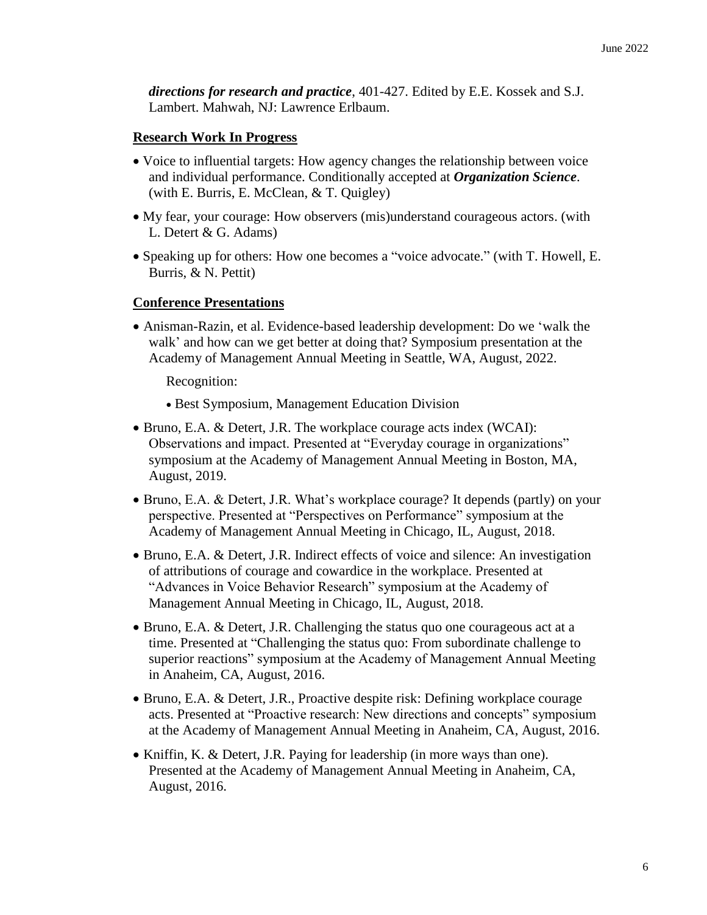*directions for research and practice*, 401-427. Edited by E.E. Kossek and S.J. Lambert. Mahwah, NJ: Lawrence Erlbaum.

### **Research Work In Progress**

- Voice to influential targets: How agency changes the relationship between voice and individual performance. Conditionally accepted at *Organization Science*. (with E. Burris, E. McClean, & T. Quigley)
- My fear, your courage: How observers (mis)understand courageous actors. (with L. Detert & G. Adams)
- Speaking up for others: How one becomes a "voice advocate." (with T. Howell, E. Burris, & N. Pettit)

### **Conference Presentations**

 Anisman-Razin, et al. Evidence-based leadership development: Do we 'walk the walk' and how can we get better at doing that? Symposium presentation at the Academy of Management Annual Meeting in Seattle, WA, August, 2022.

Recognition:

- Best Symposium, Management Education Division
- Bruno, E.A. & Detert, J.R. The workplace courage acts index (WCAI): Observations and impact. Presented at "Everyday courage in organizations" symposium at the Academy of Management Annual Meeting in Boston, MA, August, 2019.
- Bruno, E.A. & Detert, J.R. What's workplace courage? It depends (partly) on your perspective. Presented at "Perspectives on Performance" symposium at the Academy of Management Annual Meeting in Chicago, IL, August, 2018.
- Bruno, E.A. & Detert, J.R. Indirect effects of voice and silence: An investigation of attributions of courage and cowardice in the workplace. Presented at "Advances in Voice Behavior Research" symposium at the Academy of Management Annual Meeting in Chicago, IL, August, 2018.
- Bruno, E.A. & Detert, J.R. Challenging the status quo one courageous act at a time. Presented at "Challenging the status quo: From subordinate challenge to superior reactions" symposium at the Academy of Management Annual Meeting in Anaheim, CA, August, 2016.
- Bruno, E.A. & Detert, J.R., Proactive despite risk: Defining workplace courage acts. Presented at "Proactive research: New directions and concepts" symposium at the Academy of Management Annual Meeting in Anaheim, CA, August, 2016.
- Kniffin, K. & Detert, J.R. Paying for leadership (in more ways than one). Presented at the Academy of Management Annual Meeting in Anaheim, CA, August, 2016.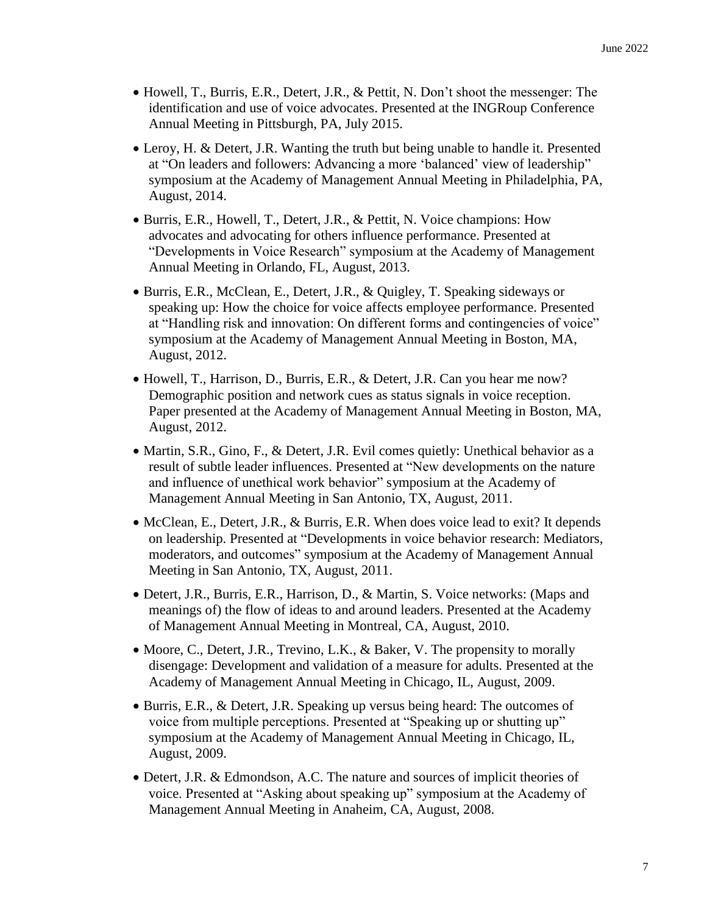- Howell, T., Burris, E.R., Detert, J.R., & Pettit, N. Don't shoot the messenger: The identification and use of voice advocates. Presented at the INGRoup Conference Annual Meeting in Pittsburgh, PA, July 2015.
- Leroy, H. & Detert, J.R. Wanting the truth but being unable to handle it. Presented at "On leaders and followers: Advancing a more 'balanced' view of leadership" symposium at the Academy of Management Annual Meeting in Philadelphia, PA, August, 2014.
- Burris, E.R., Howell, T., Detert, J.R., & Pettit, N. Voice champions: How advocates and advocating for others influence performance. Presented at "Developments in Voice Research" symposium at the Academy of Management Annual Meeting in Orlando, FL, August, 2013.
- Burris, E.R., McClean, E., Detert, J.R., & Quigley, T. Speaking sideways or speaking up: How the choice for voice affects employee performance. Presented at "Handling risk and innovation: On different forms and contingencies of voice" symposium at the Academy of Management Annual Meeting in Boston, MA, August, 2012.
- Howell, T., Harrison, D., Burris, E.R., & Detert, J.R. Can you hear me now? Demographic position and network cues as status signals in voice reception. Paper presented at the Academy of Management Annual Meeting in Boston, MA, August, 2012.
- Martin, S.R., Gino, F., & Detert, J.R. Evil comes quietly: Unethical behavior as a result of subtle leader influences. Presented at "New developments on the nature and influence of unethical work behavior" symposium at the Academy of Management Annual Meeting in San Antonio, TX, August, 2011.
- McClean, E., Detert, J.R., & Burris, E.R. When does voice lead to exit? It depends on leadership. Presented at "Developments in voice behavior research: Mediators, moderators, and outcomes" symposium at the Academy of Management Annual Meeting in San Antonio, TX, August, 2011.
- Detert, J.R., Burris, E.R., Harrison, D., & Martin, S. Voice networks: (Maps and meanings of) the flow of ideas to and around leaders. Presented at the Academy of Management Annual Meeting in Montreal, CA, August, 2010.
- Moore, C., Detert, J.R., Trevino, L.K., & Baker, V. The propensity to morally disengage: Development and validation of a measure for adults. Presented at the Academy of Management Annual Meeting in Chicago, IL, August, 2009.
- Burris, E.R., & Detert, J.R. Speaking up versus being heard: The outcomes of voice from multiple perceptions. Presented at "Speaking up or shutting up" symposium at the Academy of Management Annual Meeting in Chicago, IL, August, 2009.
- Detert, J.R. & Edmondson, A.C. The nature and sources of implicit theories of voice. Presented at "Asking about speaking up" symposium at the Academy of Management Annual Meeting in Anaheim, CA, August, 2008.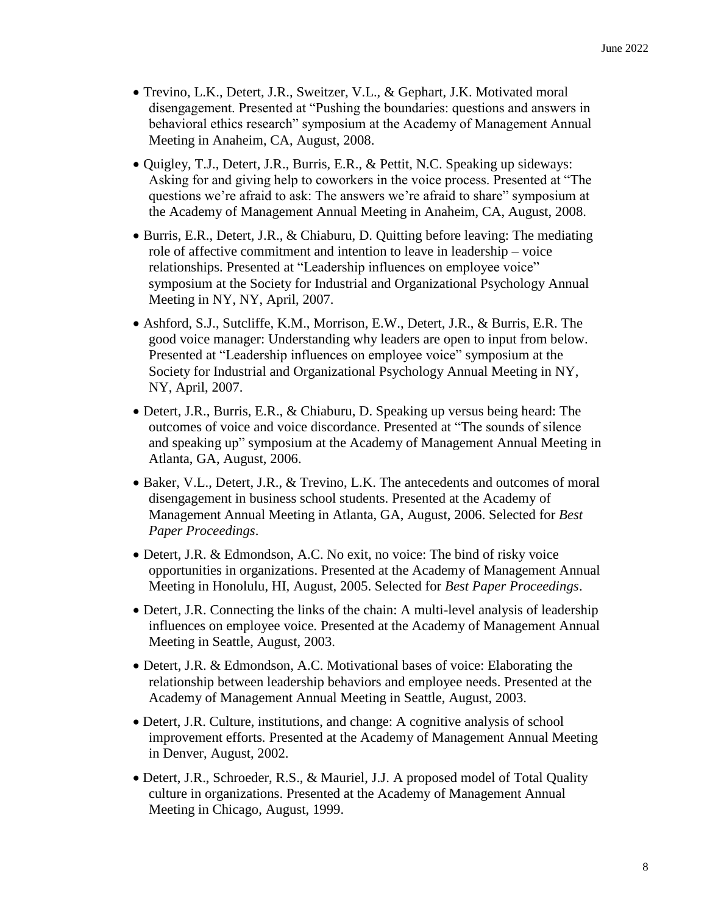- Trevino, L.K., Detert, J.R., Sweitzer, V.L., & Gephart, J.K. Motivated moral disengagement. Presented at "Pushing the boundaries: questions and answers in behavioral ethics research" symposium at the Academy of Management Annual Meeting in Anaheim, CA, August, 2008.
- Quigley, T.J., Detert, J.R., Burris, E.R., & Pettit, N.C. Speaking up sideways: Asking for and giving help to coworkers in the voice process. Presented at "The questions we're afraid to ask: The answers we're afraid to share" symposium at the Academy of Management Annual Meeting in Anaheim, CA, August, 2008.
- Burris, E.R., Detert, J.R., & Chiaburu, D. Quitting before leaving: The mediating role of affective commitment and intention to leave in leadership – voice relationships. Presented at "Leadership influences on employee voice" symposium at the Society for Industrial and Organizational Psychology Annual Meeting in NY, NY, April, 2007.
- Ashford, S.J., Sutcliffe, K.M., Morrison, E.W., Detert, J.R., & Burris, E.R. The good voice manager: Understanding why leaders are open to input from below. Presented at "Leadership influences on employee voice" symposium at the Society for Industrial and Organizational Psychology Annual Meeting in NY, NY, April, 2007.
- Detert, J.R., Burris, E.R., & Chiaburu, D. Speaking up versus being heard: The outcomes of voice and voice discordance. Presented at "The sounds of silence and speaking up" symposium at the Academy of Management Annual Meeting in Atlanta, GA, August, 2006.
- Baker, V.L., Detert, J.R., & Trevino, L.K. The antecedents and outcomes of moral disengagement in business school students. Presented at the Academy of Management Annual Meeting in Atlanta, GA, August, 2006. Selected for *Best Paper Proceedings*.
- Detert, J.R. & Edmondson, A.C. No exit, no voice: The bind of risky voice opportunities in organizations. Presented at the Academy of Management Annual Meeting in Honolulu, HI, August, 2005. Selected for *Best Paper Proceedings*.
- Detert, J.R. Connecting the links of the chain: A multi-level analysis of leadership influences on employee voice*.* Presented at the Academy of Management Annual Meeting in Seattle, August, 2003.
- Detert, J.R. & Edmondson, A.C. Motivational bases of voice: Elaborating the relationship between leadership behaviors and employee needs. Presented at the Academy of Management Annual Meeting in Seattle, August, 2003.
- Detert, J.R. Culture, institutions, and change: A cognitive analysis of school improvement efforts*.* Presented at the Academy of Management Annual Meeting in Denver, August, 2002.
- Detert, J.R., Schroeder, R.S., & Mauriel, J.J. A proposed model of Total Quality culture in organizations. Presented at the Academy of Management Annual Meeting in Chicago, August, 1999.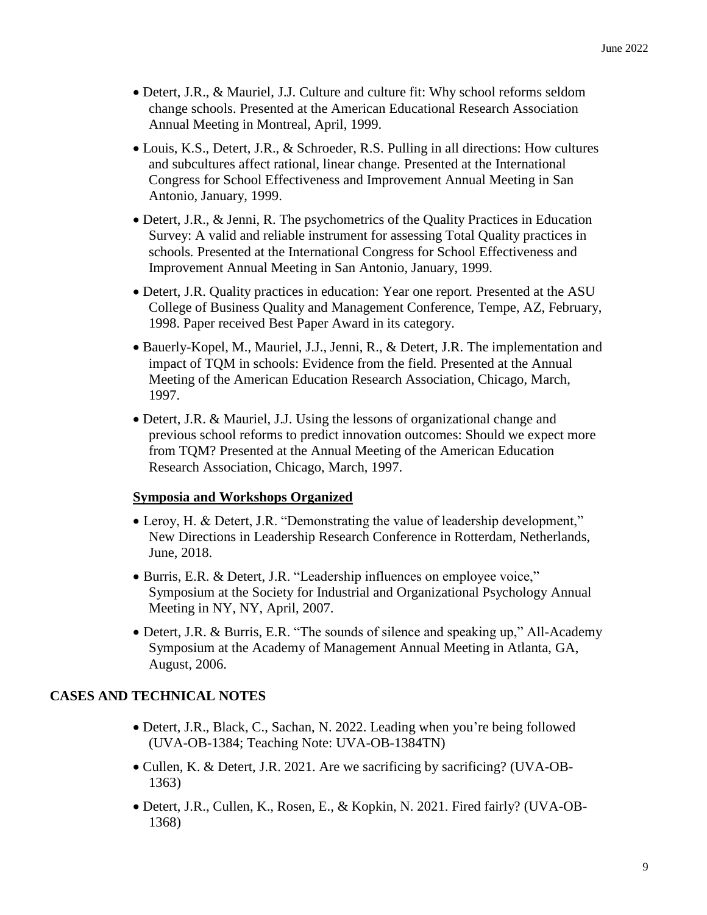- Detert, J.R., & Mauriel, J.J. Culture and culture fit: Why school reforms seldom change schools. Presented at the American Educational Research Association Annual Meeting in Montreal, April, 1999.
- Louis, K.S., Detert, J.R., & Schroeder, R.S. Pulling in all directions: How cultures and subcultures affect rational, linear change*.* Presented at the International Congress for School Effectiveness and Improvement Annual Meeting in San Antonio, January, 1999.
- Detert, J.R., & Jenni, R. The psychometrics of the Quality Practices in Education Survey: A valid and reliable instrument for assessing Total Quality practices in schools*.* Presented at the International Congress for School Effectiveness and Improvement Annual Meeting in San Antonio, January, 1999.
- Detert, J.R. Quality practices in education: Year one report*.* Presented at the ASU College of Business Quality and Management Conference, Tempe, AZ, February, 1998. Paper received Best Paper Award in its category.
- Bauerly-Kopel, M., Mauriel, J.J., Jenni, R., & Detert, J.R. The implementation and impact of TQM in schools: Evidence from the field*.* Presented at the Annual Meeting of the American Education Research Association, Chicago, March, 1997.
- Detert, J.R. & Mauriel, J.J. Using the lessons of organizational change and previous school reforms to predict innovation outcomes: Should we expect more from TQM? Presented at the Annual Meeting of the American Education Research Association, Chicago, March, 1997.

# **Symposia and Workshops Organized**

- Leroy, H. & Detert, J.R. "Demonstrating the value of leadership development," New Directions in Leadership Research Conference in Rotterdam, Netherlands, June, 2018.
- Burris, E.R. & Detert, J.R. "Leadership influences on employee voice," Symposium at the Society for Industrial and Organizational Psychology Annual Meeting in NY, NY, April, 2007.
- Detert, J.R. & Burris, E.R. "The sounds of silence and speaking up," All-Academy Symposium at the Academy of Management Annual Meeting in Atlanta, GA, August, 2006.

# **CASES AND TECHNICAL NOTES**

- Detert, J.R., Black, C., Sachan, N. 2022. Leading when you're being followed (UVA-OB-1384; Teaching Note: UVA-OB-1384TN)
- Cullen, K. & Detert, J.R. 2021. Are we sacrificing by sacrificing? (UVA-OB-1363)
- Detert, J.R., Cullen, K., Rosen, E., & Kopkin, N. 2021. Fired fairly? (UVA-OB-1368)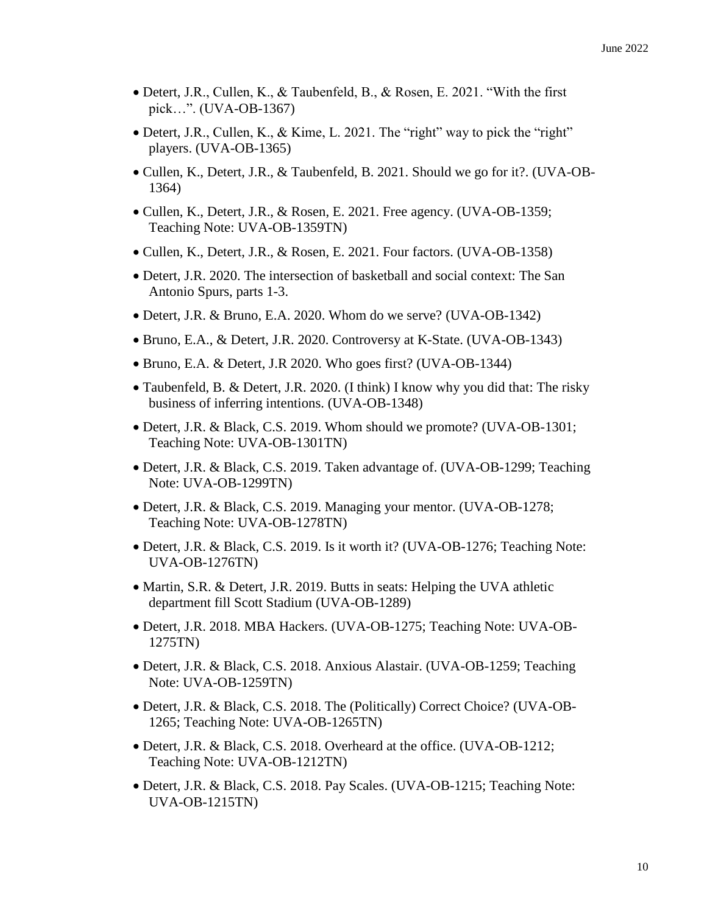- Detert, J.R., Cullen, K., & Taubenfeld, B., & Rosen, E. 2021. "With the first pick…". (UVA-OB-1367)
- Detert, J.R., Cullen, K., & Kime, L. 2021. The "right" way to pick the "right" players. (UVA-OB-1365)
- Cullen, K., Detert, J.R., & Taubenfeld, B. 2021. Should we go for it?. (UVA-OB-1364)
- Cullen, K., Detert, J.R., & Rosen, E. 2021. Free agency. (UVA-OB-1359; Teaching Note: UVA-OB-1359TN)
- Cullen, K., Detert, J.R., & Rosen, E. 2021. Four factors. (UVA-OB-1358)
- Detert, J.R. 2020. The intersection of basketball and social context: The San Antonio Spurs, parts 1-3.
- Detert, J.R. & Bruno, E.A. 2020. Whom do we serve? (UVA-OB-1342)
- Bruno, E.A., & Detert, J.R. 2020. Controversy at K-State. (UVA-OB-1343)
- Bruno, E.A. & Detert, J.R 2020. Who goes first? (UVA-OB-1344)
- Taubenfeld, B. & Detert, J.R. 2020. (I think) I know why you did that: The risky business of inferring intentions. (UVA-OB-1348)
- Detert, J.R. & Black, C.S. 2019. Whom should we promote? (UVA-OB-1301; Teaching Note: UVA-OB-1301TN)
- Detert, J.R. & Black, C.S. 2019. Taken advantage of. (UVA-OB-1299; Teaching Note: UVA-OB-1299TN)
- Detert, J.R. & Black, C.S. 2019. Managing your mentor. (UVA-OB-1278; Teaching Note: UVA-OB-1278TN)
- Detert, J.R. & Black, C.S. 2019. Is it worth it? (UVA-OB-1276; Teaching Note: UVA-OB-1276TN)
- Martin, S.R. & Detert, J.R. 2019. Butts in seats: Helping the UVA athletic department fill Scott Stadium (UVA-OB-1289)
- Detert, J.R. 2018. MBA Hackers. (UVA-OB-1275; Teaching Note: UVA-OB-1275TN)
- Detert, J.R. & Black, C.S. 2018. Anxious Alastair. (UVA-OB-1259; Teaching Note: UVA-OB-1259TN)
- Detert, J.R. & Black, C.S. 2018. The (Politically) Correct Choice? (UVA-OB-1265; Teaching Note: UVA-OB-1265TN)
- Detert, J.R. & Black, C.S. 2018. Overheard at the office. (UVA-OB-1212; Teaching Note: UVA-OB-1212TN)
- Detert, J.R. & Black, C.S. 2018. Pay Scales. (UVA-OB-1215; Teaching Note: UVA-OB-1215TN)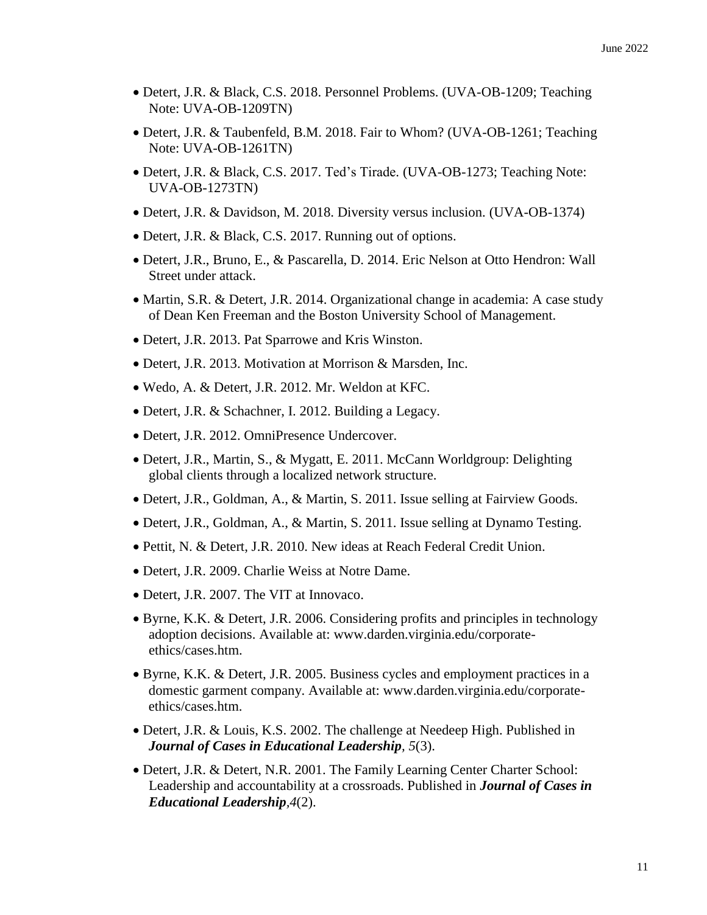- Detert, J.R. & Black, C.S. 2018. Personnel Problems. (UVA-OB-1209; Teaching Note: UVA-OB-1209TN)
- Detert, J.R. & Taubenfeld, B.M. 2018. Fair to Whom? (UVA-OB-1261; Teaching Note: UVA-OB-1261TN)
- Detert, J.R. & Black, C.S. 2017. Ted's Tirade. (UVA-OB-1273; Teaching Note: UVA-OB-1273TN)
- Detert, J.R. & Davidson, M. 2018. Diversity versus inclusion. (UVA-OB-1374)
- Detert, J.R. & Black, C.S. 2017. Running out of options.
- Detert, J.R., Bruno, E., & Pascarella, D. 2014. Eric Nelson at Otto Hendron: Wall Street under attack.
- Martin, S.R. & Detert, J.R. 2014. Organizational change in academia: A case study of Dean Ken Freeman and the Boston University School of Management.
- Detert, J.R. 2013. Pat Sparrowe and Kris Winston.
- Detert, J.R. 2013. Motivation at Morrison & Marsden, Inc.
- Wedo, A. & Detert, J.R. 2012. Mr. Weldon at KFC.
- Detert, J.R. & Schachner, I. 2012. Building a Legacy.
- Detert, J.R. 2012. OmniPresence Undercover.
- Detert, J.R., Martin, S., & Mygatt, E. 2011. McCann Worldgroup: Delighting global clients through a localized network structure.
- Detert, J.R., Goldman, A., & Martin, S. 2011. Issue selling at Fairview Goods.
- Detert, J.R., Goldman, A., & Martin, S. 2011. Issue selling at Dynamo Testing.
- Pettit, N. & Detert, J.R. 2010. New ideas at Reach Federal Credit Union.
- Detert, J.R. 2009. Charlie Weiss at Notre Dame.
- Detert, J.R. 2007. The VIT at Innovaco.
- Byrne, K.K. & Detert, J.R. 2006. Considering profits and principles in technology adoption decisions. Available at: www.darden.virginia.edu/corporateethics/cases.htm.
- Byrne, K.K. & Detert, J.R. 2005. Business cycles and employment practices in a domestic garment company. Available at: www.darden.virginia.edu/corporateethics/cases.htm.
- Detert, J.R. & Louis, K.S. 2002. The challenge at Needeep High. Published in *Journal of Cases in Educational Leadership, 5*(3).
- Detert, J.R. & Detert, N.R. 2001. The Family Learning Center Charter School: Leadership and accountability at a crossroads. Published in *Journal of Cases in Educational Leadership,4*(2).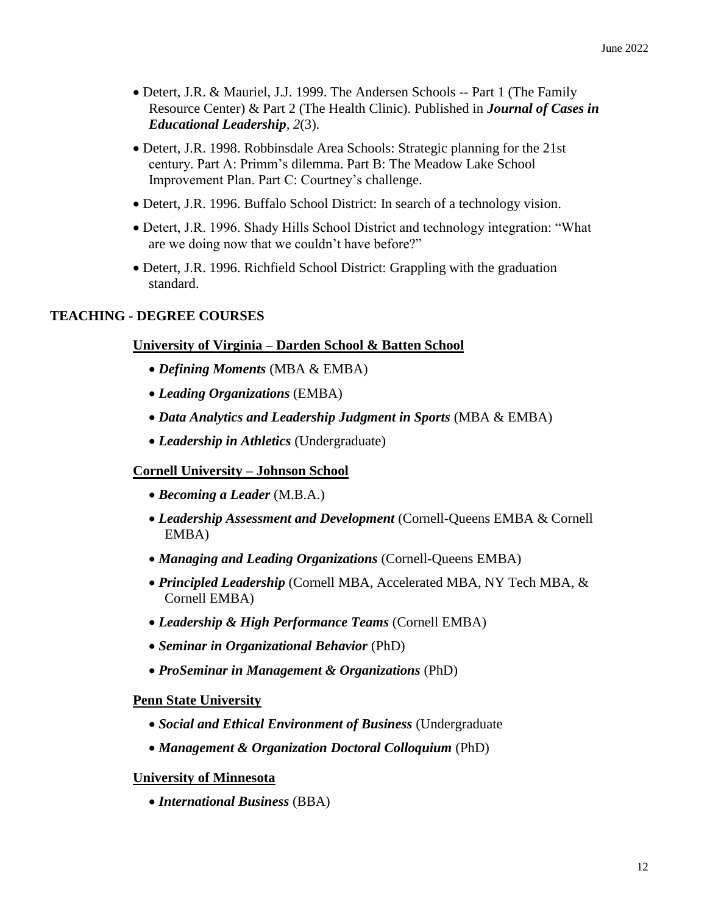- Detert, J.R. & Mauriel, J.J. 1999. The Andersen Schools -- Part 1 (The Family Resource Center) & Part 2 (The Health Clinic). Published in *Journal of Cases in Educational Leadership, 2*(3).
- Detert, J.R. 1998. Robbinsdale Area Schools: Strategic planning for the 21st century. Part A: Primm's dilemma. Part B: The Meadow Lake School Improvement Plan. Part C: Courtney's challenge.
- Detert, J.R. 1996. Buffalo School District: In search of a technology vision.
- Detert, J.R. 1996. Shady Hills School District and technology integration: "What are we doing now that we couldn't have before?"
- Detert, J.R. 1996. Richfield School District: Grappling with the graduation standard.

### **TEACHING - DEGREE COURSES**

### **University of Virginia – Darden School & Batten School**

- *Defining Moments* (MBA & EMBA)
- *Leading Organizations* (EMBA)
- *Data Analytics and Leadership Judgment in Sports* (MBA & EMBA)
- *Leadership in Athletics* (Undergraduate)

### **Cornell University – Johnson School**

- *Becoming a Leader* (M.B.A.)
- *Leadership Assessment and Development* (Cornell-Queens EMBA & Cornell EMBA)
- *Managing and Leading Organizations* (Cornell-Queens EMBA)
- *Principled Leadership* (Cornell MBA, Accelerated MBA, NY Tech MBA, & Cornell EMBA)
- *Leadership & High Performance Teams* (Cornell EMBA)
- *Seminar in Organizational Behavior* (PhD)
- *ProSeminar in Management & Organizations* (PhD)

### **Penn State University**

- *Social and Ethical Environment of Business* (Undergraduate
- *Management & Organization Doctoral Colloquium* (PhD)

### **University of Minnesota**

*International Business* (BBA)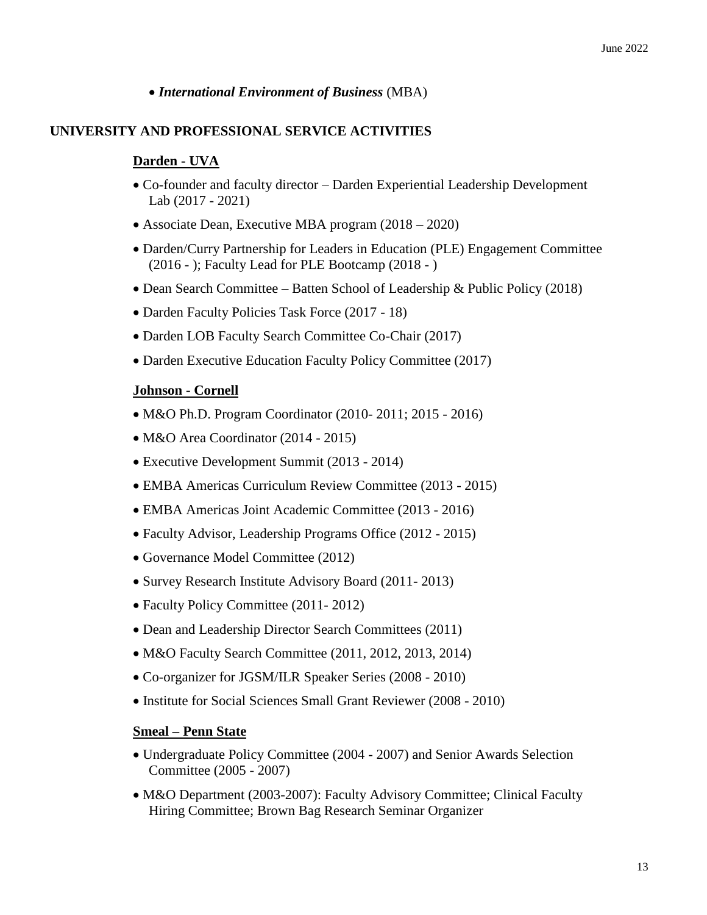### *International Environment of Business* (MBA)

### **UNIVERSITY AND PROFESSIONAL SERVICE ACTIVITIES**

### **Darden - UVA**

- Co-founder and faculty director Darden Experiential Leadership Development Lab (2017 - 2021)
- Associate Dean, Executive MBA program (2018 2020)
- Darden/Curry Partnership for Leaders in Education (PLE) Engagement Committee (2016 - ); Faculty Lead for PLE Bootcamp (2018 - )
- Dean Search Committee Batten School of Leadership & Public Policy (2018)
- Darden Faculty Policies Task Force (2017 18)
- Darden LOB Faculty Search Committee Co-Chair (2017)
- Darden Executive Education Faculty Policy Committee (2017)

### **Johnson - Cornell**

- M&O Ph.D. Program Coordinator (2010- 2011; 2015 2016)
- M&O Area Coordinator (2014 2015)
- Executive Development Summit (2013 2014)
- EMBA Americas Curriculum Review Committee (2013 2015)
- EMBA Americas Joint Academic Committee (2013 2016)
- Faculty Advisor, Leadership Programs Office (2012 2015)
- Governance Model Committee (2012)
- Survey Research Institute Advisory Board (2011-2013)
- Faculty Policy Committee (2011- 2012)
- Dean and Leadership Director Search Committees (2011)
- M&O Faculty Search Committee (2011, 2012, 2013, 2014)
- Co-organizer for JGSM/ILR Speaker Series (2008 2010)
- Institute for Social Sciences Small Grant Reviewer (2008 2010)

### **Smeal – Penn State**

- Undergraduate Policy Committee (2004 2007) and Senior Awards Selection Committee (2005 - 2007)
- M&O Department (2003-2007): Faculty Advisory Committee; Clinical Faculty Hiring Committee; Brown Bag Research Seminar Organizer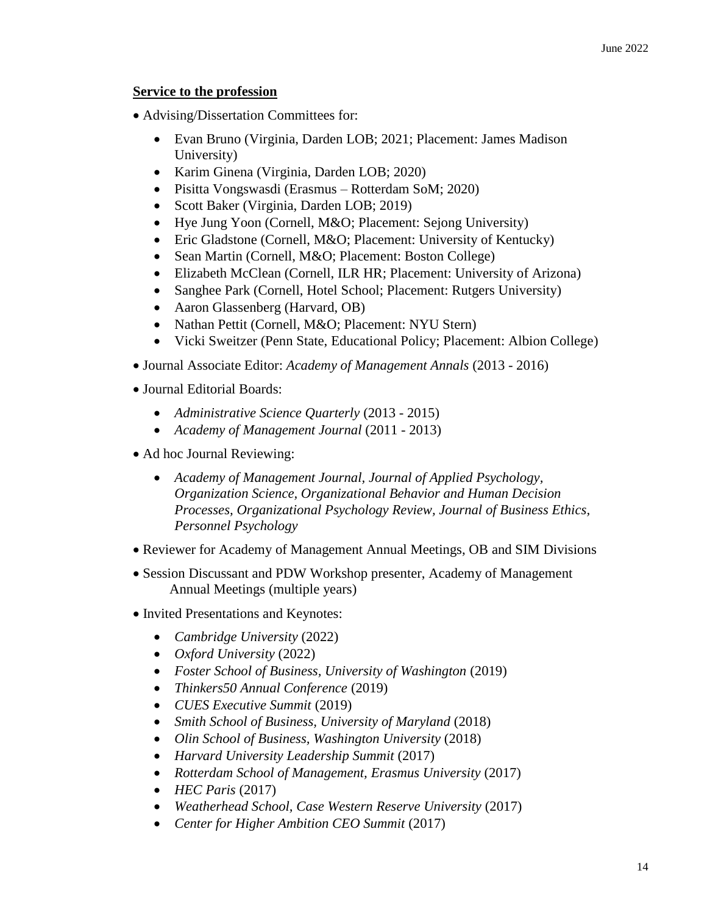# **Service to the profession**

- Advising/Dissertation Committees for:
	- Evan Bruno (Virginia, Darden LOB; 2021; Placement: James Madison University)
	- Karim Ginena (Virginia, Darden LOB; 2020)
	- Pisitta Vongswasdi (Erasmus Rotterdam SoM; 2020)
	- Scott Baker (Virginia, Darden LOB; 2019)
	- Hye Jung Yoon (Cornell, M&O; Placement: Sejong University)
	- Eric Gladstone (Cornell, M&O; Placement: University of Kentucky)
	- Sean Martin (Cornell, M&O; Placement: Boston College)
	- Elizabeth McClean (Cornell, ILR HR; Placement: University of Arizona)
	- Sanghee Park (Cornell, Hotel School; Placement: Rutgers University)
	- Aaron Glassenberg (Harvard, OB)
	- Nathan Pettit (Cornell, M&O; Placement: NYU Stern)
	- Vicki Sweitzer (Penn State, Educational Policy; Placement: Albion College)
- Journal Associate Editor: *Academy of Management Annals* (2013 2016)
- Journal Editorial Boards:
	- *Administrative Science Quarterly* (2013 2015)
	- *Academy of Management Journal* (2011 2013)
- Ad hoc Journal Reviewing:
	- *Academy of Management Journal, Journal of Applied Psychology, Organization Science, Organizational Behavior and Human Decision Processes, Organizational Psychology Review, Journal of Business Ethics, Personnel Psychology*
- Reviewer for Academy of Management Annual Meetings, OB and SIM Divisions
- Session Discussant and PDW Workshop presenter, Academy of Management Annual Meetings (multiple years)
- Invited Presentations and Keynotes:
	- *Cambridge University* (2022)
	- *Oxford University* (2022)
	- *Foster School of Business, University of Washington* (2019)
	- *Thinkers50 Annual Conference* (2019)
	- *CUES Executive Summit* (2019)
	- *Smith School of Business, University of Maryland* (2018)
	- *Olin School of Business, Washington University* (2018)
	- *Harvard University Leadership Summit* (2017)
	- *Rotterdam School of Management, Erasmus University* (2017)
	- *HEC Paris* (2017)
	- *Weatherhead School, Case Western Reserve University* (2017)
	- *Center for Higher Ambition CEO Summit* (2017)